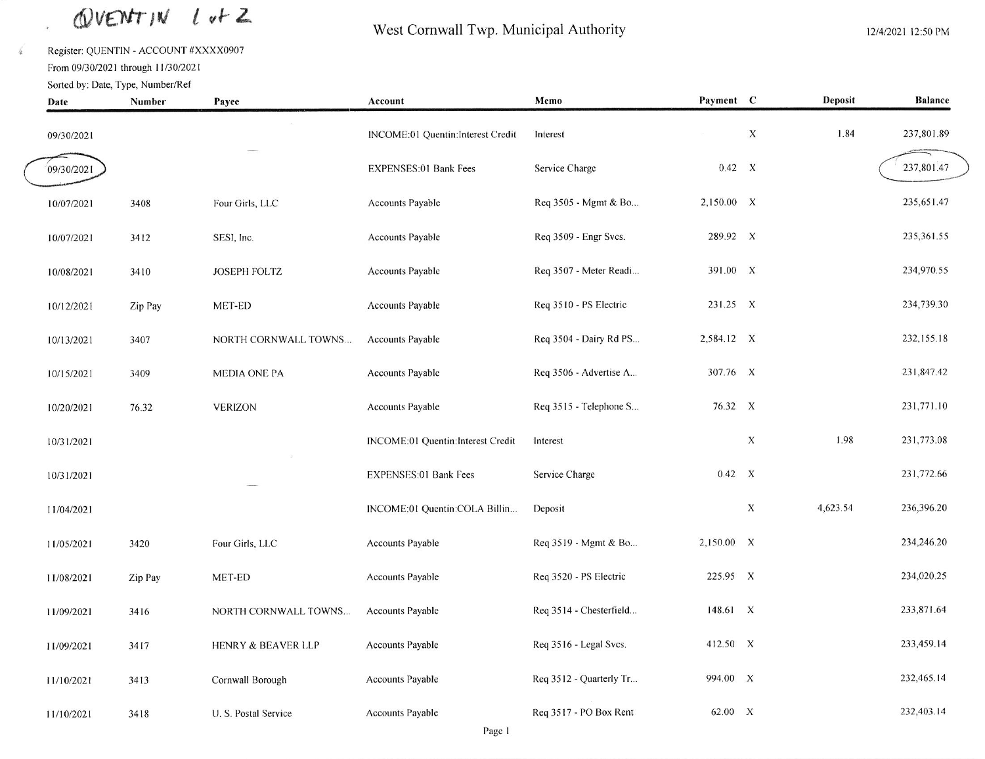## QUENTIN Lut Z

Register: QUENTIN - ACCOUNT #XXXX0907

From 09/30/2021 through 11/30/2021

 $\widehat{\mathbf{v}}$ 

 $\frac{1}{4}$ 

### West Cornwall Twp. Municipal Authority

| Date       | Sorted by: Date, Type, Number/Ref<br>Number | Payee                         | Account                           | Memo                    | Payment C  |             | Deposit  | <b>Balance</b> |  |
|------------|---------------------------------------------|-------------------------------|-----------------------------------|-------------------------|------------|-------------|----------|----------------|--|
| 09/30/2021 |                                             |                               | INCOME:01 Quentin:Interest Credit | Interest                |            | $\mathbf X$ | 1.84     | 237,801.89     |  |
| 09/30/2021 |                                             |                               | EXPENSES:01 Bank Fees             | Service Charge          | 0.42 X     |             |          | 237,801.47     |  |
| 10/07/2021 | 3408                                        | Four Girls, LLC               | <b>Accounts Payable</b>           | Req 3505 - Mgmt & Bo    | 2,150.00 X |             |          | 235,651.47     |  |
| 10/07/2021 | 3412                                        | SESI, Inc.                    | Accounts Payable                  | Req 3509 - Engr Svcs.   | 289.92 X   |             |          | 235,361.55     |  |
| 10/08/2021 | 3410                                        | <b>JOSEPH FOLTZ</b>           | <b>Accounts Payable</b>           | Req 3507 - Meter Readi  | 391.00 X   |             |          | 234,970.55     |  |
| 10/12/2021 | Zip Pay                                     | MET-ED                        | Accounts Payable                  | Req 3510 - PS Electric  | 231.25 X   |             |          | 234,739.30     |  |
| 10/13/2021 | 3407                                        | NORTH CORNWALL TOWNS          | <b>Accounts Payable</b>           | Req 3504 - Dairy Rd PS  | 2,584.12 X |             |          | 232,155.18     |  |
| 10/15/2021 | 3409                                        | MEDIA ONE PA                  | <b>Accounts Payable</b>           | Req 3506 - Advertise A  | 307.76 X   |             |          | 231,847.42     |  |
| 10/20/2021 | 76.32                                       | <b>VERIZON</b>                | <b>Accounts Payable</b>           | Req 3515 - Telephone S  | 76.32 X    |             |          | 231,771.10     |  |
| 10/31/2021 |                                             |                               | INCOME:01 Quentin:Interest Credit | Interest                |            | X           | 1.98     | 231,773.08     |  |
| 10/31/2021 |                                             |                               | EXPENSES:01 Bank Fees             | Service Charge          | 0.42 X     |             |          | 231,772.66     |  |
| 11/04/2021 |                                             |                               | INCOME:01 Quentin:COLA Billin     | Deposit                 |            | X           | 4,623.54 | 236,396.20     |  |
| 11/05/2021 | 3420                                        | Four Girls, LLC               | <b>Accounts Payable</b>           | Req 3519 - Mgmt & Bo    | 2,150.00 X |             |          | 234,246.20     |  |
| 11/08/2021 | Zip Pay                                     | MET-ED                        | <b>Accounts Payable</b>           | Req 3520 - PS Electric  | 225.95 X   |             |          | 234,020.25     |  |
| 11/09/2021 | 3416                                        | NORTH CORNWALL TOWNS          | <b>Accounts Payable</b>           | Req 3514 - Chesterfield | 148.61 X   |             |          | 233,871.64     |  |
| 11/09/2021 | 3417                                        | <b>HENRY &amp; BEAVER LLP</b> | Accounts Payable                  | Req 3516 - Legal Svcs.  | 412.50 X   |             |          | 233,459.14     |  |
| 11/10/2021 | 3413                                        | Cornwall Borough              | <b>Accounts Payable</b>           | Req 3512 - Quarterly Tr | 994.00 X   |             |          | 232,465.14     |  |
| 11/10/2021 | 3418                                        | U. S. Postal Service          | <b>Accounts Payable</b>           | Req 3517 - PO Box Rent  | 62.00 X    |             |          | 232,403.14     |  |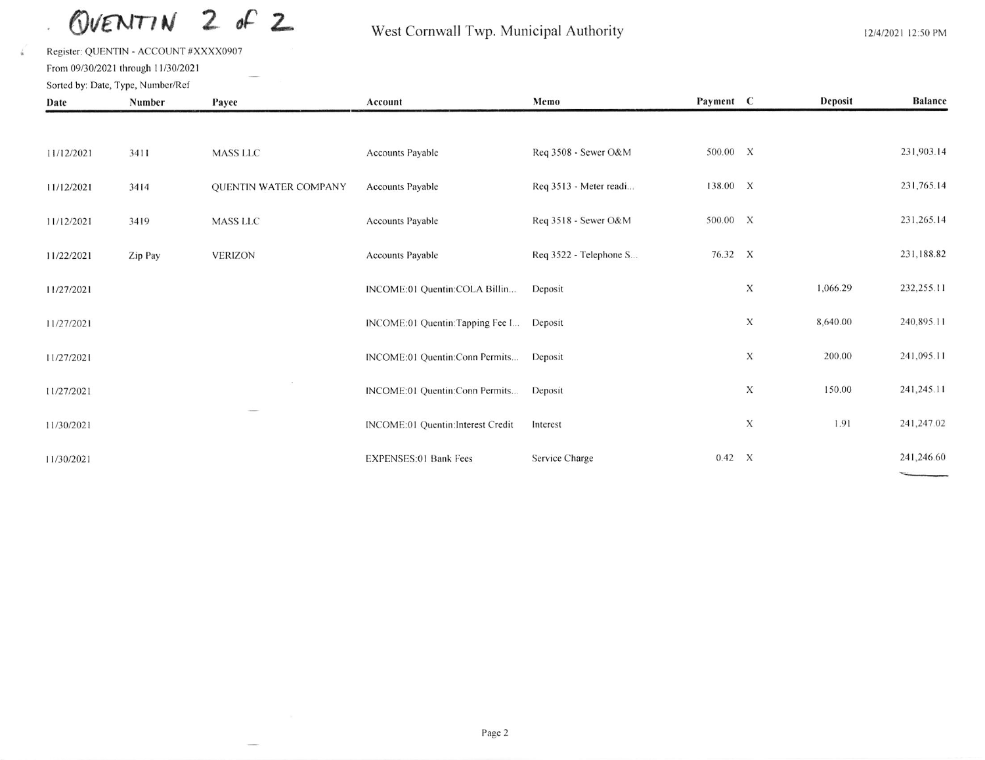$2 of 2$ OVENTIN

#### West Cornwall Twp. Municipal Authority

Register: QUENTIN - ACCOUNT #XXXX0907 From 09/30/2021 through 11/30/2021 Sorted by: Date, Type, Number/Ref

 $\sqrt{\frac{2}{n}}$ 

| Date       | Number  | Payee                 | Account                           | Memo                   | Payment C |             | Deposit  | <b>Balance</b> |
|------------|---------|-----------------------|-----------------------------------|------------------------|-----------|-------------|----------|----------------|
|            |         |                       |                                   |                        |           |             |          |                |
| 11/12/2021 | 3411    | MASS LLC              | Accounts Payable                  | Req 3508 - Sewer O&M   | 500.00 X  |             |          | 231,903.14     |
| 11/12/2021 | 3414    | QUENTIN WATER COMPANY | <b>Accounts Payable</b>           | Req 3513 - Meter readi | 138.00 X  |             |          | 231,765.14     |
| 11/12/2021 | 3419    | MASS LLC              | Accounts Payable                  | Req 3518 - Sewer O&M   | 500.00 X  |             |          | 231,265.14     |
| 11/22/2021 | Zip Pay | <b>VERIZON</b>        | Accounts Payable                  | Req 3522 - Telephone S | 76.32 X   |             |          | 231,188.82     |
| 11/27/2021 |         |                       | INCOME:01 Quentin:COLA Billin     | Deposit                |           | $\mathbf X$ | 1,066.29 | 232,255.11     |
| 11/27/2021 |         |                       | INCOME:01 Quentin:Tapping Fee I   | Deposit                |           | X           | 8,640.00 | 240,895.11     |
| 11/27/2021 |         |                       | INCOME:01 Quentin:Conn Permits    | Deposit                |           | X           | 200.00   | 241,095.11     |
| 11/27/2021 |         |                       | INCOME:01 Quentin:Conn Permits    | Deposit                |           | X           | 150.00   | 241,245.11     |
| 11/30/2021 |         |                       | INCOME:01 Quentin:Interest Credit | Interest               |           | X           | 1.91     | 241,247.02     |
| 11/30/2021 |         |                       | <b>EXPENSES:01 Bank Fees</b>      | Service Charge         | 0.42 X    |             |          | 241,246.60     |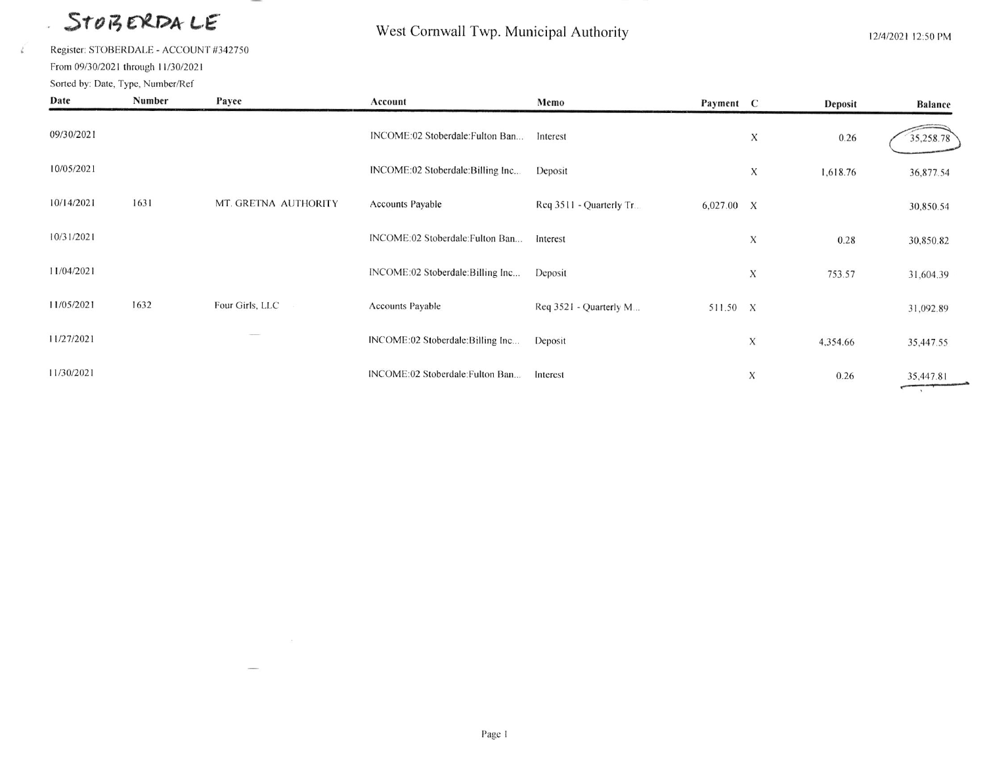# STOBERDALE

Register: STOBERDALE - ACCOUNT #342750

From 09/30/2021 through 11/30/2021

i.

 $\vec{k}$ 

#### West Cornwall Twp. Municipal Authority

12/4/2021 12:50 PM

| Sorted by: Date, Type, Number/Ref |        |                      |                                   |                         |           |                           |          |                |
|-----------------------------------|--------|----------------------|-----------------------------------|-------------------------|-----------|---------------------------|----------|----------------|
| Date                              | Number | Payee                | Account                           | Memo                    | Payment C |                           | Deposit  | <b>Balance</b> |
| 09/30/2021                        |        |                      | INCOME:02 Stoberdale: Fulton Ban  | Interest                |           | X                         | 0.26     | 35,258.78      |
| 10/05/2021                        |        |                      | INCOME:02 Stoberdale: Billing Inc | Deposit                 |           | X                         | 1,618.76 | 36,877.54      |
| 10/14/2021                        | 1631   | MT. GRETNA AUTHORITY | <b>Accounts Payable</b>           | Req 3511 - Quarterly Tr | 6,027.00  | $\boldsymbol{\mathsf{X}}$ |          | 30,850.54      |
| 10/31/2021                        |        |                      | INCOME:02 Stoberdale: Fulton Ban  | Interest                |           | X                         | 0.28     | 30,850.82      |
| 11/04/2021                        |        |                      | INCOME:02 Stoberdale:Billing Inc  | Deposit                 |           | X                         | 753.57   | 31,604.39      |
| 11/05/2021                        | 1632   | Four Girls, LLC      | Accounts Payable                  | Req 3521 - Quarterly M  | 511.50 X  |                           |          | 31,092.89      |
| 11/27/2021                        |        |                      | INCOME:02 Stoberdale:Billing Inc  | Deposit                 |           | $\mathbf X$               | 4,354.66 | 35,447.55      |
| 11/30/2021                        |        |                      | INCOME:02 Stoberdale: Fulton Ban  | Interest                |           | X                         | 0.26     | 35,447.81      |